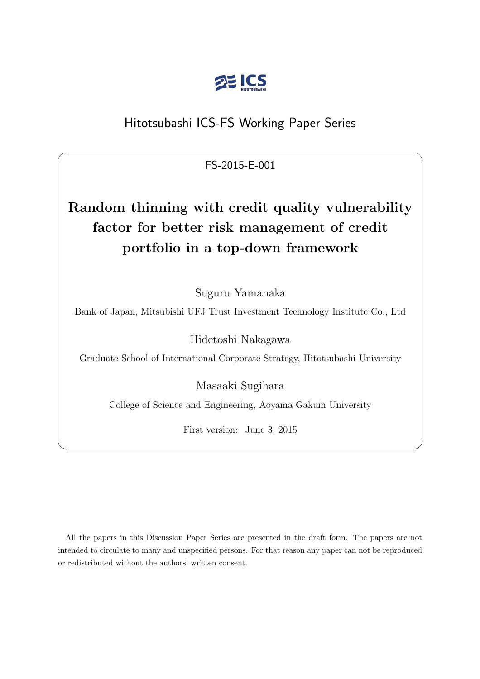

## Hitotsubashi ICS-FS Working Paper Series

FS-2015-E-001

 $\sqrt{2\pi}$ 

# **Random thinning with credit quality vulnerability factor for better risk management of credit portfolio in a top-down framework**

Suguru Yamanaka

Bank of Japan, Mitsubishi UFJ Trust Investment Technology Institute Co., Ltd

Hidetoshi Nakagawa

Graduate School of International Corporate Strategy, Hitotsubashi University

Masaaki Sugihara

College of Science and Engineering, Aoyama Gakuin University

First version: June 3, 2015

✒ ✑

All the papers in this Discussion Paper Series are presented in the draft form. The papers are not intended to circulate to many and unspecified persons. For that reason any paper can not be reproduced or redistributed without the authors' written consent.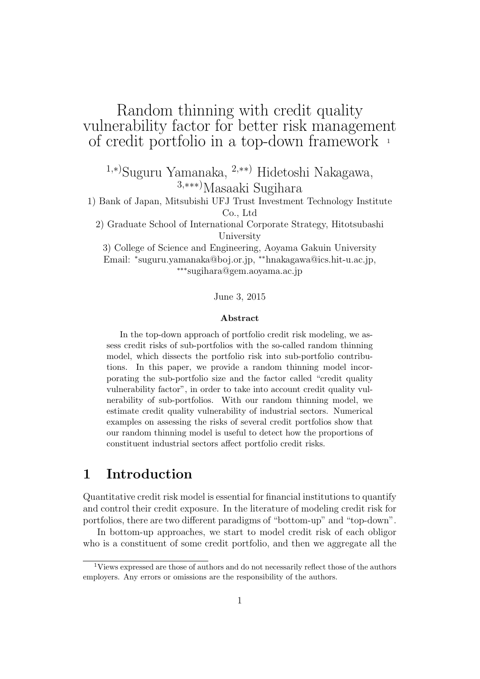## Random thinning with credit quality vulnerability factor for better risk management of credit portfolio in a top-down framework <sup>1</sup>

<sup>1</sup>*,∗*)Suguru Yamanaka, <sup>2</sup>*,∗∗*) Hidetoshi Nakagawa, <sup>3</sup>*,∗∗∗*)Masaaki Sugihara

1) Bank of Japan, Mitsubishi UFJ Trust Investment Technology Institute Co., Ltd

2) Graduate School of International Corporate Strategy, Hitotsubashi University

3) College of Science and Engineering, Aoyama Gakuin University Email: *<sup>∗</sup>* suguru.yamanaka@boj.or.jp, *∗∗*hnakagawa@ics.hit-u.ac.jp, *∗∗∗*sugihara@gem.aoyama.ac.jp

June 3, 2015

#### **Abstract**

In the top-down approach of portfolio credit risk modeling, we assess credit risks of sub-portfolios with the so-called random thinning model, which dissects the portfolio risk into sub-portfolio contributions. In this paper, we provide a random thinning model incorporating the sub-portfolio size and the factor called "credit quality vulnerability factor", in order to take into account credit quality vulnerability of sub-portfolios. With our random thinning model, we estimate credit quality vulnerability of industrial sectors. Numerical examples on assessing the risks of several credit portfolios show that our random thinning model is useful to detect how the proportions of constituent industrial sectors affect portfolio credit risks.

### **1 Introduction**

Quantitative credit risk model is essential for financial institutions to quantify and control their credit exposure. In the literature of modeling credit risk for portfolios, there are two different paradigms of "bottom-up" and "top-down".

In bottom-up approaches, we start to model credit risk of each obligor who is a constituent of some credit portfolio, and then we aggregate all the

<sup>1</sup>Views expressed are those of authors and do not necessarily reflect those of the authors employers. Any errors or omissions are the responsibility of the authors.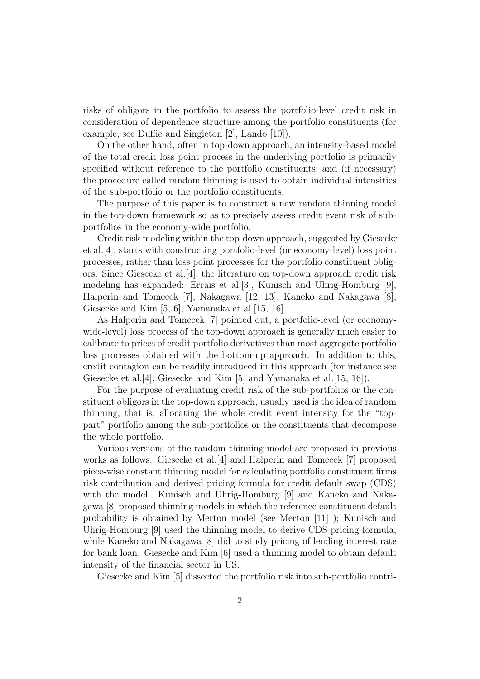risks of obligors in the portfolio to assess the portfolio-level credit risk in consideration of dependence structure among the portfolio constituents (for example, see Duffie and Singleton [2], Lando [10]).

On the other hand, often in top-down approach, an intensity-based model of the total credit loss point process in the underlying portfolio is primarily specified without reference to the portfolio constituents, and (if necessary) the procedure called random thinning is used to obtain individual intensities of the sub-portfolio or the portfolio constituents.

The purpose of this paper is to construct a new random thinning model in the top-down framework so as to precisely assess credit event risk of subportfolios in the economy-wide portfolio.

Credit risk modeling within the top-down approach, suggested by Giesecke et al.[4], starts with constructing portfolio-level (or economy-level) loss point processes, rather than loss point processes for the portfolio constituent obligors. Since Giesecke et al.[4], the literature on top-down approach credit risk modeling has expanded: Errais et al.[3], Kunisch and Uhrig-Homburg [9], Halperin and Tomecek [7], Nakagawa [12, 13], Kaneko and Nakagawa [8], Giesecke and Kim [5, 6], Yamanaka et al.[15, 16].

As Halperin and Tomecek [7] pointed out, a portfolio-level (or economywide-level) loss process of the top-down approach is generally much easier to calibrate to prices of credit portfolio derivatives than most aggregate portfolio loss processes obtained with the bottom-up approach. In addition to this, credit contagion can be readily introduced in this approach (for instance see Giesecke et al.[4], Giesecke and Kim [5] and Yamanaka et al.[15, 16]).

For the purpose of evaluating credit risk of the sub-portfolios or the constituent obligors in the top-down approach, usually used is the idea of random thinning, that is, allocating the whole credit event intensity for the "toppart" portfolio among the sub-portfolios or the constituents that decompose the whole portfolio.

Various versions of the random thinning model are proposed in previous works as follows. Giesecke et al.[4] and Halperin and Tomecek [7] proposed piece-wise constant thinning model for calculating portfolio constituent firms risk contribution and derived pricing formula for credit default swap (CDS) with the model. Kunisch and Uhrig-Homburg [9] and Kaneko and Nakagawa [8] proposed thinning models in which the reference constituent default probability is obtained by Merton model (see Merton [11] ); Kunisch and Uhrig-Homburg [9] used the thinning model to derive CDS pricing formula, while Kaneko and Nakagawa [8] did to study pricing of lending interest rate for bank loan. Giesecke and Kim [6] used a thinning model to obtain default intensity of the financial sector in US.

Giesecke and Kim [5] dissected the portfolio risk into sub-portfolio contri-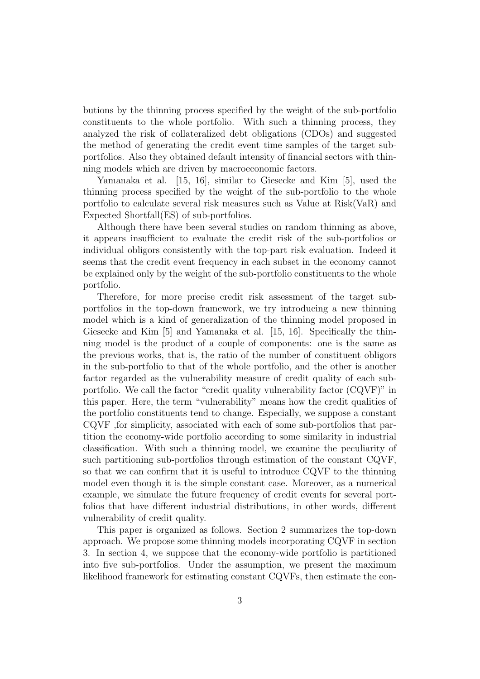butions by the thinning process specified by the weight of the sub-portfolio constituents to the whole portfolio. With such a thinning process, they analyzed the risk of collateralized debt obligations (CDOs) and suggested the method of generating the credit event time samples of the target subportfolios. Also they obtained default intensity of financial sectors with thinning models which are driven by macroeconomic factors.

Yamanaka et al. [15, 16], similar to Giesecke and Kim [5], used the thinning process specified by the weight of the sub-portfolio to the whole portfolio to calculate several risk measures such as Value at Risk(VaR) and Expected Shortfall(ES) of sub-portfolios.

Although there have been several studies on random thinning as above, it appears insufficient to evaluate the credit risk of the sub-portfolios or individual obligors consistently with the top-part risk evaluation. Indeed it seems that the credit event frequency in each subset in the economy cannot be explained only by the weight of the sub-portfolio constituents to the whole portfolio.

Therefore, for more precise credit risk assessment of the target subportfolios in the top-down framework, we try introducing a new thinning model which is a kind of generalization of the thinning model proposed in Giesecke and Kim [5] and Yamanaka et al. [15, 16]. Specifically the thinning model is the product of a couple of components: one is the same as the previous works, that is, the ratio of the number of constituent obligors in the sub-portfolio to that of the whole portfolio, and the other is another factor regarded as the vulnerability measure of credit quality of each subportfolio. We call the factor "credit quality vulnerability factor (CQVF)" in this paper. Here, the term "vulnerability" means how the credit qualities of the portfolio constituents tend to change. Especially, we suppose a constant CQVF ,for simplicity, associated with each of some sub-portfolios that partition the economy-wide portfolio according to some similarity in industrial classification. With such a thinning model, we examine the peculiarity of such partitioning sub-portfolios through estimation of the constant CQVF, so that we can confirm that it is useful to introduce CQVF to the thinning model even though it is the simple constant case. Moreover, as a numerical example, we simulate the future frequency of credit events for several portfolios that have different industrial distributions, in other words, different vulnerability of credit quality.

This paper is organized as follows. Section 2 summarizes the top-down approach. We propose some thinning models incorporating CQVF in section 3. In section 4, we suppose that the economy-wide portfolio is partitioned into five sub-portfolios. Under the assumption, we present the maximum likelihood framework for estimating constant CQVFs, then estimate the con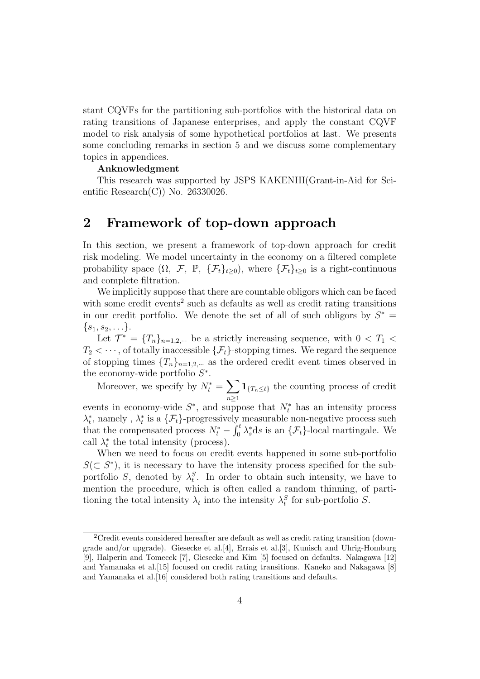stant CQVFs for the partitioning sub-portfolios with the historical data on rating transitions of Japanese enterprises, and apply the constant CQVF model to risk analysis of some hypothetical portfolios at last. We presents some concluding remarks in section 5 and we discuss some complementary topics in appendices.

#### **Anknowledgment**

This research was supported by JSPS KAKENHI(Grant-in-Aid for Scientific Research $(C)$ ) No. 26330026.

### **2 Framework of top-down approach**

In this section, we present a framework of top-down approach for credit risk modeling. We model uncertainty in the economy on a filtered complete probability space  $(\Omega, \mathcal{F}, \mathbb{P}, \{\mathcal{F}_t\}_{t\geq 0})$ , where  $\{\mathcal{F}_t\}_{t\geq 0}$  is a right-continuous and complete filtration.

We implicitly suppose that there are countable obligors which can be faced with some credit events<sup>2</sup> such as defaults as well as credit rating transitions in our credit portfolio. We denote the set of all of such obligors by  $S^* =$  $\{s_1, s_2, \ldots\}.$ 

Let  $\mathcal{T}^* = \{T_n\}_{n=1,2,\cdots}$  be a strictly increasing sequence, with  $0 < T_1 <$  $T_2 < \cdots$ , of totally inaccessible  $\{\mathcal{F}_t\}$ -stopping times. We regard the sequence of stopping times  ${T_n}_{n=1,2,\cdots}$  as the ordered credit event times observed in the economy-wide portfolio *S ∗* .

Moreover, we specify by  $N_t^* = \sum$ *n≥*1  $\mathbf{1}_{\{T_n \leq t\}}$  the counting process of credit

events in economy-wide  $S^*$ , and suppose that  $N_t^*$  has an intensity process  $\lambda_t^*$ , namely,  $\lambda_t^*$  is a  $\{\mathcal{F}_t\}$ -progressively measurable non-negative process such *that the compensated process*  $N_t^* - \int_0^t \lambda_s^* ds$  is an  $\{\mathcal{F}_t\}$ -local martingale. We that the compensated process  $N_t^* - \int_0^t \lambda_s^* ds$  is an  $\{\mathcal{F}_t\}$ -local martingale. call  $\lambda_t^*$  the total intensity (process).

When we need to focus on credit events happened in some sub-portfolio  $S(\subset S^*)$ , it is necessary to have the intensity process specified for the subportfolio *S*, denoted by  $\lambda_t^S$ . In order to obtain such intensity, we have to mention the procedure, which is often called a random thinning, of partitioning the total intensity  $\lambda_t$  into the intensity  $\lambda_t^S$  for sub-portfolio *S*.

<sup>2</sup>Credit events considered hereafter are default as well as credit rating transition (downgrade and/or upgrade). Giesecke et al.[4], Errais et al.[3], Kunisch and Uhrig-Homburg [9], Halperin and Tomecek [7], Giesecke and Kim [5] focused on defaults. Nakagawa [12] and Yamanaka et al.[15] focused on credit rating transitions. Kaneko and Nakagawa [8] and Yamanaka et al.[16] considered both rating transitions and defaults.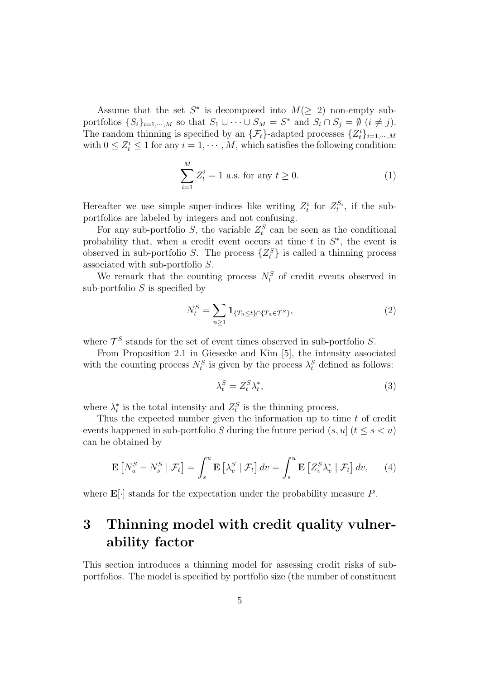Assume that the set  $S^*$  is decomposed into  $M(\geq 2)$  non-empty subportfolios  $\{S_i\}_{i=1,\dots,M}$  so that  $S_1 \cup \dots \cup S_M = S^*$  and  $S_i \cap S_j = \emptyset$   $(i \neq j)$ . The random thinning is specified by an  $\{\mathcal{F}_t\}$ -adapted processes  $\{Z_t^i\}_{i=1,\dots,M}$ with  $0 \leq Z_t^i \leq 1$  for any  $i = 1, \dots, M$ , which satisfies the following condition:

$$
\sum_{i=1}^{M} Z_t^i = 1 \text{ a.s. for any } t \ge 0.
$$
 (1)

Hereafter we use simple super-indices like writing  $Z_t^i$  for  $Z_t^{S_i}$ , if the subportfolios are labeled by integers and not confusing.

For any sub-portfolio *S*, the variable  $Z_t^S$  can be seen as the conditional probability that, when a credit event occurs at time  $t$  in  $S^*$ , the event is observed in sub-portfolio *S*. The process  $\{Z_t^S\}$  is called a thinning process associated with sub-portfolio *S*.

We remark that the counting process  $N_t^S$  of credit events observed in sub-portfolio *S* is specified by

$$
N_t^S = \sum_{n\geq 1} \mathbf{1}_{\{T_n \leq t\} \cap \{T_n \in \mathcal{T}^S\}},\tag{2}
$$

where  $\mathcal{T}^S$  stands for the set of event times observed in sub-portfolio  $S$ .

From Proposition 2.1 in Giesecke and Kim [5], the intensity associated with the counting process  $N_t^S$  is given by the process  $\lambda_t^S$  defined as follows:

$$
\lambda_t^S = Z_t^S \lambda_t^*,\tag{3}
$$

where  $\lambda_t^*$  is the total intensity and  $Z_t^S$  is the thinning process.

Thus the expected number given the information up to time *t* of credit events happened in sub-portfolio *S* during the future period  $(s, u]$  ( $t \leq s < u$ ) can be obtained by

$$
\mathbf{E}\left[N_u^S - N_s^S \mid \mathcal{F}_t\right] = \int_s^u \mathbf{E}\left[\lambda_v^S \mid \mathcal{F}_t\right] dv = \int_s^u \mathbf{E}\left[Z_v^S \lambda_v^* \mid \mathcal{F}_t\right] dv, \tag{4}
$$

where **E**[*·*] stands for the expectation under the probability measure *P*.

## **3 Thinning model with credit quality vulnerability factor**

This section introduces a thinning model for assessing credit risks of subportfolios. The model is specified by portfolio size (the number of constituent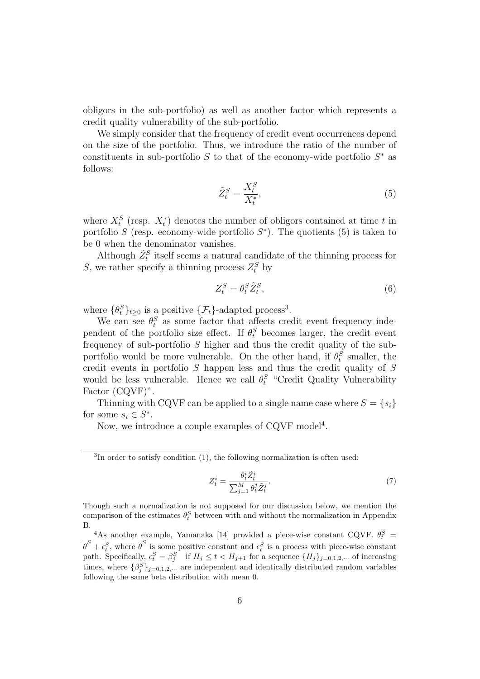obligors in the sub-portfolio) as well as another factor which represents a credit quality vulnerability of the sub-portfolio.

We simply consider that the frequency of credit event occurrences depend on the size of the portfolio. Thus, we introduce the ratio of the number of constituents in sub-portfolio *S* to that of the economy-wide portfolio *S <sup>∗</sup>* as follows:

$$
\tilde{Z}_t^S = \frac{X_t^S}{X_t^*},\tag{5}
$$

where  $X_t^S$  (resp.  $X_t^*$ ) denotes the number of obligors contained at time *t* in portfolio *S* (resp. economy-wide portfolio *S ∗* ). The quotients (5) is taken to be 0 when the denominator vanishes.

Although  $\tilde{Z}^S_t$  itself seems a natural candidate of the thinning process for *S*, we rather specify a thinning process  $Z_t^S$  by

$$
Z_t^S = \theta_t^S \tilde{Z}_t^S,\tag{6}
$$

where  $\{\theta_t^S\}_{t\geq 0}$  is a positive  $\{\mathcal{F}_t\}$ -adapted process<sup>3</sup>.

We can see  $\theta_t^S$  as some factor that affects credit event frequency independent of the portfolio size effect. If  $\theta_t^S$  becomes larger, the credit event frequency of sub-portfolio *S* higher and thus the credit quality of the subportfolio would be more vulnerable. On the other hand, if  $\theta_t^S$  smaller, the credit events in portfolio *S* happen less and thus the credit quality of *S* would be less vulnerable. Hence we call  $\theta_t^S$  "Credit Quality Vulnerability Factor (CQVF)".

Thinning with CQVF can be applied to a single name case where  $S = \{s_i\}$ for some  $s_i \in S^*$ .

Now, we introduce a couple examples of CQVF model<sup>4</sup>.

$$
Z_t^i = \frac{\theta_t^i \tilde{Z}_t^i}{\sum_{j=1}^M \theta_t^j \tilde{Z}_t^j}.
$$
\n<sup>(7)</sup>

 ${}^{3}$ In order to satisfy condition (1), the following normalization is often used:

Though such a normalization is not supposed for our discussion below, we mention the comparison of the estimates  $\theta_t^S$  between with and without the normalization in Appendix B.

<sup>&</sup>lt;sup>4</sup>As another example, Yamanaka [14] provided a piece-wise constant CQVF.  $\theta_t^S$  =  $\overline{\theta}^S + \epsilon_t^S$ , where  $\overline{\theta}^S$  is some positive constant and  $\epsilon_t^S$  is a process with piece-wise constant path. Specifically,  $\epsilon_t^S = \beta_j^S$  if  $H_j \le t < H_{j+1}$  for a sequence  $\{H_j\}_{j=0,1,2,\cdots}$  of increasing times, where  $\{\beta_j^S\}_{j=0,1,2,\cdots}$  are independent and identically distributed random variables following the same beta distribution with mean 0.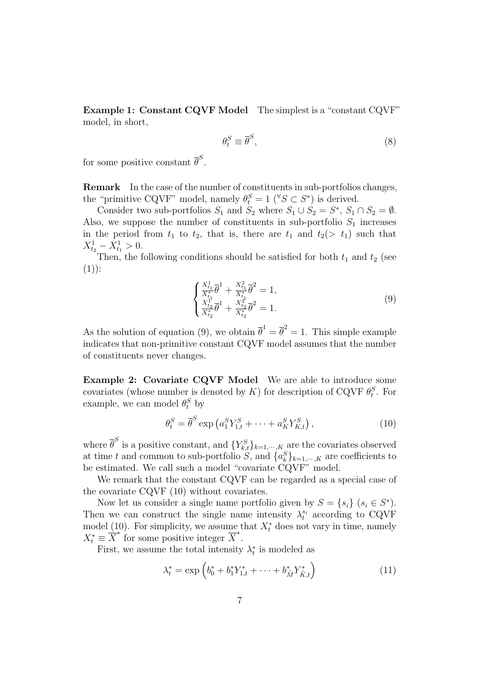**Example 1: Constant CQVF Model** The simplest is a "constant CQVF" model, in short,

$$
\theta_t^S \equiv \overline{\theta}^S,\tag{8}
$$

for some positive constant  $\overline{\theta}^S$ .

**Remark** In the case of the number of constituents in sub-portfolios changes, the "primitive CQVF" model, namely  $\theta_t^S = 1$  ( $^{\forall}S \subset S^*$ ) is derived.

Consider two sub-portfolios  $S_1$  and  $S_2$  where  $S_1 \cup S_2 = S^*$ ,  $S_1 \cap S_2 = \emptyset$ . Also, we suppose the number of constituents in sub-portfolio  $S_1$  increases in the period from  $t_1$  to  $t_2$ , that is, there are  $t_1$  and  $t_2(> t_1)$  such that  $X_{t_2}^1 - X_{t_1}^1 > 0.$ 

Then, the following conditions should be satisfied for both  $t_1$  and  $t_2$  (see  $(1))$ :

$$
\begin{cases} \frac{X_{t_1}^1}{X_{t_1}^*} \overline{\theta}^1 + \frac{X_{t_1}^2}{X_{t_1}^*} \overline{\theta}^2 = 1, \\ \frac{X_{t_2}^1}{X_{t_2}^*} \overline{\theta}^1 + \frac{X_{t_2}^2}{X_{t_2}^*} \overline{\theta}^2 = 1. \end{cases} \tag{9}
$$

As the solution of equation (9), we obtain  $\overline{\theta}^1 = \overline{\theta}^2 = 1$ . This simple example indicates that non-primitive constant CQVF model assumes that the number of constituents never changes.

**Example 2: Covariate CQVF Model** We are able to introduce some covariates (whose number is denoted by  $K$ ) for description of CQVF  $\theta_t^S$ . For example, we can model  $\theta_t^S$  by

$$
\theta_t^S = \overline{\theta}^S \exp\left(a_1^S Y_{1,t}^S + \dots + a_K^S Y_{K,t}^S\right),\tag{10}
$$

where  $\overline{\theta}^S$  is a positive constant, and  $\{Y_{k,t}^S\}_{k=1,\dots,K}$  are the covariates observed at time *t* and common to sub-portfolio  $S$ , and  ${a_k^S}_{k=1,\dots,K}$  are coefficients to be estimated. We call such a model "covariate CQVF" model.

We remark that the constant CQVF can be regarded as a special case of the covariate CQVF (10) without covariates.

Now let us consider a single name portfolio given by  $S = \{s_i\}$  ( $s_i \in S^*$ ). Then we can construct the single name intensity  $\lambda_t^{s_i}$  according to CQVF model (10). For simplicity, we assume that  $X_t^*$  does not vary in time, namely  $X_t^* \equiv \overline{X}^*$  for some positive integer  $\overline{X}^*$ .

First, we assume the total intensity  $\lambda_t^*$  is modeled as

$$
\lambda_t^* = \exp\left(b_0^* + b_1^* Y_{1,t}^* + \dots + b_{\tilde{M}}^* Y_{\tilde{K},t}^*\right) \tag{11}
$$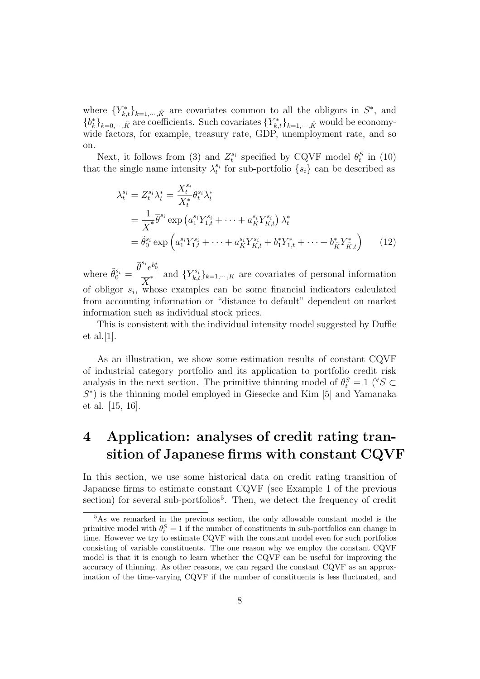where  ${Y^*_{k,t}}_{k=1,\dots,K}$  are covariates common to all the obligors in  $S^*$ , and  ${b_k^*}_{k=0,\dots,K}$  are coefficients. Such covariates  ${Y_{k,t}^*}_{k=1,\dots,K}$  would be economywide factors, for example, treasury rate, GDP, unemployment rate, and so on.

Next, it follows from (3) and  $Z_t^{s_i}$  specified by CQVF model  $\theta_t^S$  in (10) that the single name intensity  $\lambda_t^{s_i}$  for sub-portfolio  $\{s_i\}$  can be described as

$$
\lambda_t^{s_i} = Z_t^{s_i} \lambda_t^* = \frac{X_t^{s_i}}{X_t^*} \theta_t^{s_i} \lambda_t^*
$$
  
= 
$$
\frac{1}{X^*} \overline{\theta}^{s_i} \exp\left(a_1^{s_i} Y_{1,t}^{s_i} + \dots + a_K^{s_i} Y_{K,t}^{s_i}\right) \lambda_t^*
$$
  
= 
$$
\tilde{\theta}_0^{s_i} \exp\left(a_1^{s_i} Y_{1,t}^{s_i} + \dots + a_K^{s_i} Y_{K,t}^{s_i} + b_1^* Y_{1,t}^* + \dots + b_K^* Y_{K,t}^*\right)
$$
 (12)

where  $\tilde{\theta}_0^{s_i}$  =  $\overline{\theta}^{s_i}e^{b_0^*}$ *X*  $\frac{f^{(0)}}{f^{(0)}}$  and  $\{Y^{(s)}_{k,t}\}_{k=1,\dots,K}$  are covariates of personal information of obligor *s<sup>i</sup>* , whose examples can be some financial indicators calculated from accounting information or "distance to default" dependent on market information such as individual stock prices.

This is consistent with the individual intensity model suggested by Duffie et al.[1].

As an illustration, we show some estimation results of constant CQVF of industrial category portfolio and its application to portfolio credit risk analysis in the next section. The primitive thinning model of  $\theta_t^S = 1$  (<sup> $\forall S \subset$ </sup> *S ∗* ) is the thinning model employed in Giesecke and Kim [5] and Yamanaka et al. [15, 16].

## **4 Application: analyses of credit rating transition of Japanese firms with constant CQVF**

In this section, we use some historical data on credit rating transition of Japanese firms to estimate constant CQVF (see Example 1 of the previous section) for several sub-portfolios<sup>5</sup>. Then, we detect the frequency of credit

<sup>5</sup>As we remarked in the previous section, the only allowable constant model is the primitive model with  $\theta_t^S = 1$  if the number of constituents in sub-portfolios can change in time. However we try to estimate CQVF with the constant model even for such portfolios consisting of variable constituents. The one reason why we employ the constant CQVF model is that it is enough to learn whether the CQVF can be useful for improving the accuracy of thinning. As other reasons, we can regard the constant CQVF as an approximation of the time-varying CQVF if the number of constituents is less fluctuated, and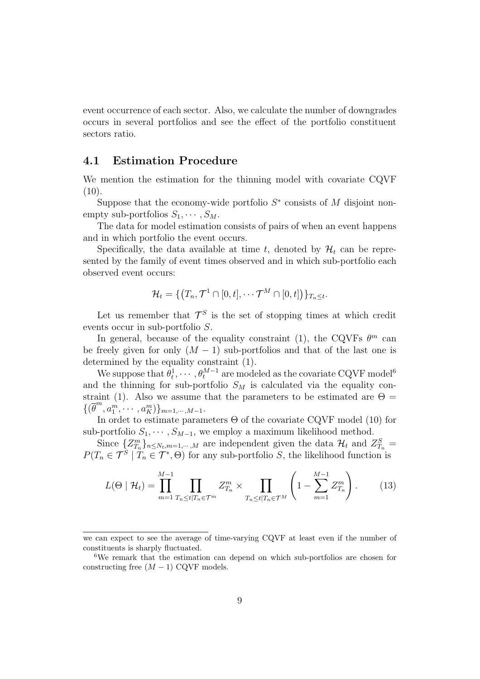event occurrence of each sector. Also, we calculate the number of downgrades occurs in several portfolios and see the effect of the portfolio constituent sectors ratio.

#### **4.1 Estimation Procedure**

We mention the estimation for the thinning model with covariate CQVF  $(10).$ 

Suppose that the economy-wide portfolio *S ∗* consists of *M* disjoint nonempty sub-portfolios  $S_1, \cdots, S_M$ .

The data for model estimation consists of pairs of when an event happens and in which portfolio the event occurs.

Specifically, the data available at time  $t$ , denoted by  $\mathcal{H}_t$  can be represented by the family of event times observed and in which sub-portfolio each observed event occurs:

$$
\mathcal{H}_t = \{ (T_n, \mathcal{T}^1 \cap [0, t], \cdots \mathcal{T}^M \cap [0, t]) \}_{T_n \leq t}.
$$

Let us remember that  $\mathcal{T}^S$  is the set of stopping times at which credit events occur in sub-portfolio *S*.

In general, because of the equality constraint (1), the CQVFs  $\theta^m$  can be freely given for only  $(M-1)$  sub-portfolios and that of the last one is determined by the equality constraint (1).

We suppose that  $\theta_t^1, \cdots, \theta_t^{M-1}$  are modeled as the covariate CQVF model<sup>6</sup> and the thinning for sub-portfolio  $S_M$  is calculated via the equality constraint (1). Also we assume that the parameters to be estimated are  $\Theta =$  ${(\overline{\theta}^m, a_1^m, \cdots, a_K^m)}_{m=1,\cdots,M-1}.$ 

In ordet to estimate parameters Θ of the covariate CQVF model (10) for sub-portfolio  $S_1, \cdots, S_{M-1}$ , we employ a maximum likelihood method.

Since  $\{Z_{T_n}^m\}_{n \leq N_t, m=1,\dots,M}$  are independent given the data  $\mathcal{H}_t$  and  $Z_{T_n}^S =$  $P(T_n \in \mathcal{T}^S \mid T_n \in \mathcal{T}^*, \Theta)$  for any sub-portfolio *S*, the likelihood function is

$$
L(\Theta \mid \mathcal{H}_t) = \prod_{m=1}^{M-1} \prod_{T_n \le t | T_n \in \mathcal{T}^m} Z_{T_n}^m \times \prod_{T_n \le t | T_n \in \mathcal{T}^M} \left(1 - \sum_{m=1}^{M-1} Z_{T_n}^m \right). \tag{13}
$$

we can expect to see the average of time-varying CQVF at least even if the number of constituents is sharply fluctuated.

<sup>6</sup>We remark that the estimation can depend on which sub-portfolios are chosen for constructing free  $(M-1)$  CQVF models.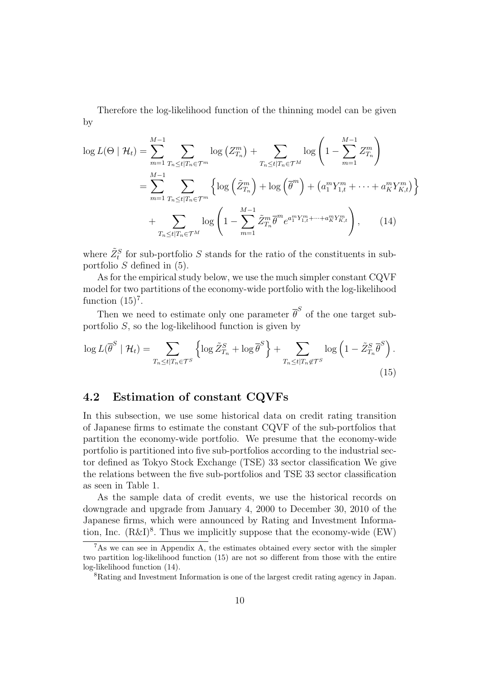Therefore the log-likelihood function of the thinning model can be given by

$$
\log L(\Theta \mid \mathcal{H}_{t}) = \sum_{m=1}^{M-1} \sum_{T_{n} \leq t | T_{n} \in \mathcal{T}^{m}} \log \left( Z_{T_{n}}^{m} \right) + \sum_{T_{n} \leq t | T_{n} \in \mathcal{T}^{M}} \log \left( 1 - \sum_{m=1}^{M-1} Z_{T_{n}}^{m} \right)
$$
  
\n
$$
= \sum_{m=1}^{M-1} \sum_{T_{n} \leq t | T_{n} \in \mathcal{T}^{m}} \left\{ \log \left( \tilde{Z}_{T_{n}}^{m} \right) + \log \left( \overline{\theta}^{m} \right) + \left( a_{1}^{m} Y_{1,t}^{m} + \dots + a_{K}^{m} Y_{K,t}^{m} \right) \right\}
$$
  
\n
$$
+ \sum_{T_{n} \leq t | T_{n} \in \mathcal{T}^{M}} \log \left( 1 - \sum_{m=1}^{M-1} \tilde{Z}_{T_{n}}^{m} \overline{\theta}^{m} e^{a_{1}^{m} Y_{1,t}^{m} + \dots + a_{K}^{m} Y_{K,t}^{m}} \right), \qquad (14)
$$

where  $\tilde{Z}_{t}^{S}$  for sub-portfolio *S* stands for the ratio of the constituents in subportfolio *S* defined in (5).

As for the empirical study below, we use the much simpler constant CQVF model for two partitions of the economy-wide portfolio with the log-likelihood function  $(15)^7$ .

Then we need to estimate only one parameter  $\bar{\theta}^S$  of the one target subportfolio *S*, so the log-likelihood function is given by

$$
\log L(\overline{\theta}^S \mid \mathcal{H}_t) = \sum_{T_n \le t | T_n \in \mathcal{T}^S} \left\{ \log \tilde{Z}_{T_n}^S + \log \overline{\theta}^S \right\} + \sum_{T_n \le t | T_n \notin \mathcal{T}^S} \log \left( 1 - \tilde{Z}_{T_n}^S \overline{\theta}^S \right). \tag{15}
$$

### **4.2 Estimation of constant CQVFs**

In this subsection, we use some historical data on credit rating transition of Japanese firms to estimate the constant CQVF of the sub-portfolios that partition the economy-wide portfolio. We presume that the economy-wide portfolio is partitioned into five sub-portfolios according to the industrial sector defined as Tokyo Stock Exchange (TSE) 33 sector classification We give the relations between the five sub-portfolios and TSE 33 sector classification as seen in Table 1.

As the sample data of credit events, we use the historical records on downgrade and upgrade from January 4, 2000 to December 30, 2010 of the Japanese firms, which were announced by Rating and Investment Information, Inc.  $(R&I)^8$ . Thus we implicitly suppose that the economy-wide (EW)

<sup>7</sup>As we can see in Appendix A, the estimates obtained every sector with the simpler two partition log-likelihood function (15) are not so different from those with the entire log-likelihood function (14).

<sup>8</sup>Rating and Investment Information is one of the largest credit rating agency in Japan.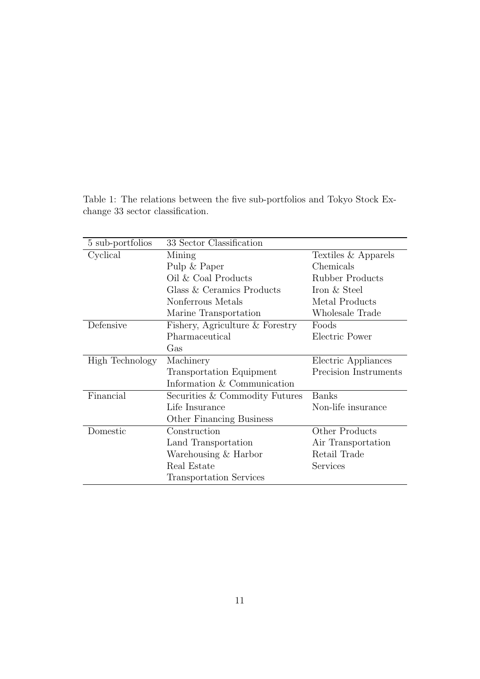| 5 sub-portfolios | 33 Sector Classification        |                        |
|------------------|---------------------------------|------------------------|
| Cyclical         | Mining                          | Textiles & Apparels    |
|                  | Pulp & Paper                    | Chemicals              |
|                  | Oil & Coal Products             | <b>Rubber Products</b> |
|                  | Glass & Ceramics Products       | Iron & Steel           |
|                  | Nonferrous Metals               | Metal Products         |
|                  | Marine Transportation           | Wholesale Trade        |
| Defensive        | Fishery, Agriculture & Forestry | Foods                  |
|                  | Pharmaceutical                  | Electric Power         |
|                  | Gas                             |                        |
| High Technology  | Machinery                       | Electric Appliances    |
|                  | <b>Transportation Equipment</b> | Precision Instruments  |
|                  | Information & Communication     |                        |
| Financial        | Securities & Commodity Futures  | <b>Banks</b>           |
|                  | Life Insurance                  | Non-life insurance     |
|                  | Other Financing Business        |                        |
| Domestic         | Construction                    | Other Products         |
|                  | Land Transportation             | Air Transportation     |
|                  | Warehousing & Harbor            | Retail Trade           |
|                  | Real Estate                     | Services               |
|                  | <b>Transportation Services</b>  |                        |

Table 1: The relations between the five sub-portfolios and Tokyo Stock Exchange 33 sector classification.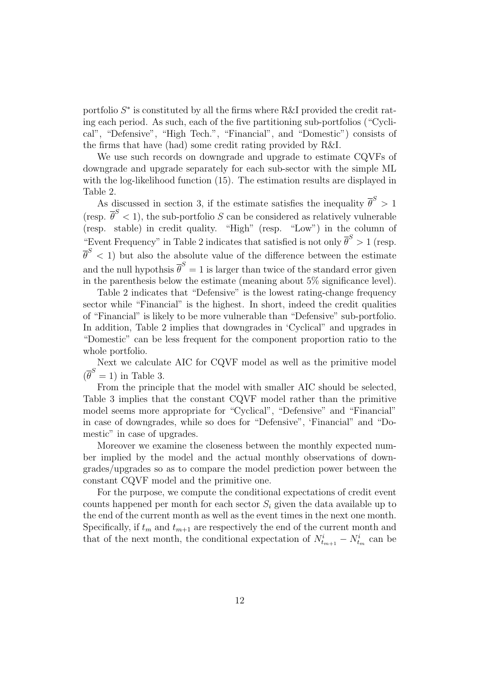portfolio  $S^*$  is constituted by all the firms where R&I provided the credit rating each period. As such, each of the five partitioning sub-portfolios ("Cyclical", "Defensive", "High Tech.", "Financial", and "Domestic") consists of the firms that have (had) some credit rating provided by R&I.

We use such records on downgrade and upgrade to estimate CQVFs of downgrade and upgrade separately for each sub-sector with the simple ML with the log-likelihood function (15). The estimation results are displayed in Table 2.

As discussed in section 3, if the estimate satisfies the inequality  $\bar{\theta}^S > 1$ (resp.  $\bar{\theta}^S$  < 1), the sub-portfolio *S* can be considered as relatively vulnerable (resp. stable) in credit quality. "High" (resp. "Low") in the column of "Event Frequency" in Table 2 indicates that satisfied is not only  $\bar{\theta}^S > 1$  (resp.  $\overline{\theta}^S$  < 1) but also the absolute value of the difference between the estimate and the null hypothsis  $\overline{\theta}^S = 1$  is larger than twice of the standard error given in the parenthesis below the estimate (meaning about 5% significance level).

Table 2 indicates that "Defensive" is the lowest rating-change frequency sector while "Financial" is the highest. In short, indeed the credit qualities of "Financial" is likely to be more vulnerable than "Defensive" sub-portfolio. In addition, Table 2 implies that downgrades in 'Cyclical" and upgrades in "Domestic" can be less frequent for the component proportion ratio to the whole portfolio.

Next we calculate AIC for CQVF model as well as the primitive model  $(\overline{\theta}^S = 1)$  in Table 3.

From the principle that the model with smaller AIC should be selected, Table 3 implies that the constant CQVF model rather than the primitive model seems more appropriate for "Cyclical", "Defensive" and "Financial" in case of downgrades, while so does for "Defensive", 'Financial" and "Domestic" in case of upgrades.

Moreover we examine the closeness between the monthly expected number implied by the model and the actual monthly observations of downgrades/upgrades so as to compare the model prediction power between the constant CQVF model and the primitive one.

For the purpose, we compute the conditional expectations of credit event counts happened per month for each sector  $S_i$  given the data available up to the end of the current month as well as the event times in the next one month. Specifically, if  $t_m$  and  $t_{m+1}$  are respectively the end of the current month and that of the next month, the conditional expectation of  $N^i_{t_{m+1}} - N^i_{t_m}$  can be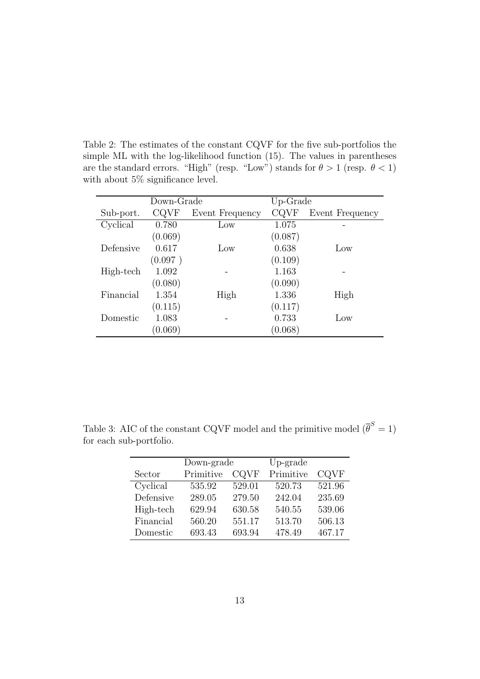Table 2: The estimates of the constant CQVF for the five sub-portfolios the simple ML with the log-likelihood function (15). The values in parentheses are the standard errors. "High" (resp. "Low") stands for  $\theta > 1$  (resp.  $\theta < 1$ ) with about 5% significance level.

| Down-Grade |         |                 | Up-Grade |                 |
|------------|---------|-----------------|----------|-----------------|
| Sub-port.  | CQVF    | Event Frequency | CQVF     | Event Frequency |
| Cyclical   | 0.780   | Low             | 1.075    |                 |
|            | (0.069) |                 | (0.087)  |                 |
| Defensive  | 0.617   | Low             | 0.638    | Low             |
|            | (0.097) |                 | (0.109)  |                 |
| High-tech  | 1.092   |                 | 1.163    |                 |
|            | (0.080) |                 | (0.090)  |                 |
| Financial  | 1.354   | High            | 1.336    | High            |
|            | (0.115) |                 | (0.117)  |                 |
| Domestic   | 1.083   |                 | 0.733    | Low             |
|            | (0.069) |                 | (0.068)  |                 |

Table 3: AIC of the constant CQVF model and the primitive model  $(\overline{\theta}^S = 1)$ for each sub-portfolio.

|           | Down-grade |        | Up-grade  |             |
|-----------|------------|--------|-----------|-------------|
| Sector    | Primitive  | CQVF   | Primitive | <b>CQVF</b> |
| Cyclical  | 535.92     | 529.01 | 520.73    | 521.96      |
| Defensive | 289.05     | 279.50 | 242.04    | 235.69      |
| High-tech | 629.94     | 630.58 | 540.55    | 539.06      |
| Financial | 560.20     | 551.17 | 513.70    | 506.13      |
| Domestic  | 693.43     | 693.94 | 478.49    | 467.17      |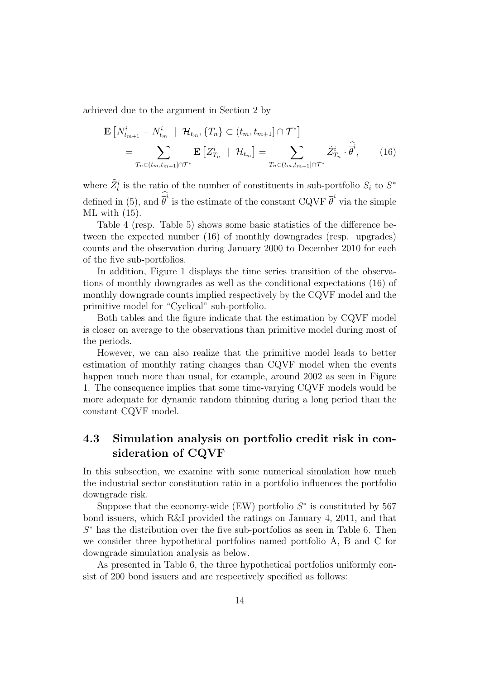achieved due to the argument in Section 2 by

$$
\mathbf{E}\left[N_{t_{m+1}}^{i}-N_{t_{m}}^{i} \mid \mathcal{H}_{t_{m}}, \{T_{n}\} \subset (t_{m}, t_{m+1}] \cap \mathcal{T}^{*}\right]
$$
\n
$$
= \sum_{T_{n} \in (t_{m}, t_{m+1}] \cap \mathcal{T}^{*}} \mathbf{E}\left[Z_{T_{n}}^{i} \mid \mathcal{H}_{t_{m}}\right] = \sum_{T_{n} \in (t_{m}, t_{m+1}] \cap \mathcal{T}^{*}} \tilde{Z}_{T_{n}}^{i} \cdot \widehat{\theta}^{i}, \qquad (16)
$$

where  $\tilde{Z}^i_t$  is the ratio of the number of constituents in sub-portfolio  $S_i$  to  $S^*$ defined in (5), and  $\overline{\theta}^i$  is the estimate of the constant CQVF  $\overline{\theta}^i$  via the simple  $ML$  with  $(15)$ .

Table 4 (resp. Table 5) shows some basic statistics of the difference between the expected number (16) of monthly downgrades (resp. upgrades) counts and the observation during January 2000 to December 2010 for each of the five sub-portfolios.

In addition, Figure 1 displays the time series transition of the observations of monthly downgrades as well as the conditional expectations (16) of monthly downgrade counts implied respectively by the CQVF model and the primitive model for "Cyclical" sub-portfolio.

Both tables and the figure indicate that the estimation by CQVF model is closer on average to the observations than primitive model during most of the periods.

However, we can also realize that the primitive model leads to better estimation of monthly rating changes than CQVF model when the events happen much more than usual, for example, around 2002 as seen in Figure 1. The consequence implies that some time-varying CQVF models would be more adequate for dynamic random thinning during a long period than the constant CQVF model.

### **4.3 Simulation analysis on portfolio credit risk in consideration of CQVF**

In this subsection, we examine with some numerical simulation how much the industrial sector constitution ratio in a portfolio influences the portfolio downgrade risk.

Suppose that the economy-wide (EW) portfolio  $S^*$  is constituted by 567 bond issuers, which R&I provided the ratings on January 4, 2011, and that *S <sup>∗</sup>* has the distribution over the five sub-portfolios as seen in Table 6. Then we consider three hypothetical portfolios named portfolio A, B and C for downgrade simulation analysis as below.

As presented in Table 6, the three hypothetical portfolios uniformly consist of 200 bond issuers and are respectively specified as follows: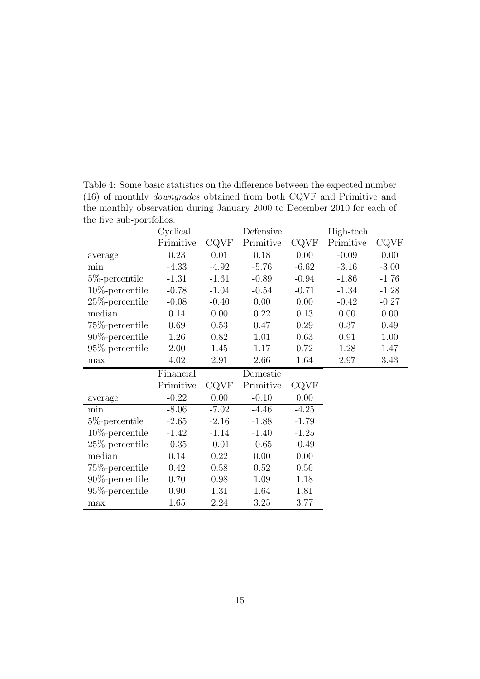| ence trie pap-hormonos. |           |             |           |         |           |         |
|-------------------------|-----------|-------------|-----------|---------|-----------|---------|
|                         | Cyclical  |             | Defensive |         | High-tech |         |
|                         | Primitive | $\rm CQVF$  | Primitive | CQVF    | Primitive | CQVF    |
| average                 | 0.23      | 0.01        | 0.18      | 0.00    | $-0.09$   | 0.00    |
| min                     | $-4.33$   | $-4.92$     | $-5.76$   | $-6.62$ | $-3.16$   | $-3.00$ |
| $5\%$ -percentile       | $-1.31$   | $-1.61$     | $-0.89$   | $-0.94$ | $-1.86$   | $-1.76$ |
| $10\%$ -percentile      | $-0.78$   | $-1.04$     | $-0.54$   | $-0.71$ | $-1.34$   | $-1.28$ |
| $25\%$ -percentile      | $-0.08$   | $-0.40$     | 0.00      | 0.00    | $-0.42$   | $-0.27$ |
| median                  | 0.14      | 0.00        | 0.22      | 0.13    | 0.00      | 0.00    |
| 75\%-percentile         | 0.69      | 0.53        | 0.47      | 0.29    | 0.37      | 0.49    |
| 90%-percentile          | 1.26      | 0.82        | 1.01      | 0.63    | 0.91      | 1.00    |
| 95\%-percentile         | 2.00      | 1.45        | 1.17      | 0.72    | 1.28      | 1.47    |
| max                     | 4.02      | 2.91        | 2.66      | 1.64    | 2.97      | 3.43    |
|                         |           |             |           |         |           |         |
|                         | Financial |             | Domestic  |         |           |         |
|                         | Primitive | <b>CQVF</b> | Primitive | CQVF    |           |         |
| average                 | $-0.22$   | 0.00        | $-0.10$   | 0.00    |           |         |
| min                     | $-8.06$   | $-7.02$     | $-4.46$   | $-4.25$ |           |         |
| $5\%$ -percentile       | $-2.65$   | $-2.16$     | $-1.88$   | $-1.79$ |           |         |
| $10\%$ -percentile      | $-1.42$   | $-1.14$     | $-1.40$   | $-1.25$ |           |         |
| $25\%$ -percentile      | $-0.35$   | $-0.01$     | $-0.65$   | $-0.49$ |           |         |
| median                  | 0.14      | 0.22        | 0.00      | 0.00    |           |         |
| 75\%-percentile         | 0.42      | 0.58        | 0.52      | 0.56    |           |         |
| 90%-percentile          | 0.70      | 0.98        | 1.09      | 1.18    |           |         |
| 95\%-percentile         | 0.90      | 1.31        | 1.64      | 1.81    |           |         |

Table 4: Some basic statistics on the difference between the expected number (16) of monthly *downgrades* obtained from both CQVF and Primitive and the monthly observation during January 2000 to December 2010 for each of the five sub-portfolios.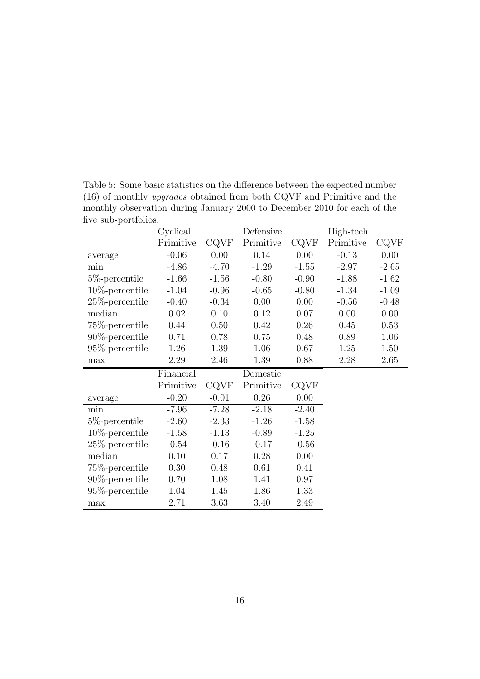| mve sup-pormonos.  |           |             |           |             |           |         |
|--------------------|-----------|-------------|-----------|-------------|-----------|---------|
|                    | Cyclical  |             | Defensive |             | High-tech |         |
|                    | Primitive | CQVF        | Primitive | CQVF        | Primitive | CQVF    |
| average            | $-0.06$   | 0.00        | 0.14      | 0.00        | $-0.13$   | 0.00    |
| min                | $-4.86$   | $-4.70$     | $-1.29$   | $-1.55$     | $-2.97$   | $-2.65$ |
| $5\%$ -percentile  | $-1.66$   | $-1.56$     | $-0.80$   | $-0.90$     | $-1.88$   | $-1.62$ |
| $10\%$ -percentile | $-1.04$   | $-0.96$     | $-0.65$   | $-0.80$     | $-1.34$   | $-1.09$ |
| 25\%-percentile    | $-0.40$   | $-0.34$     | 0.00      | 0.00        | $-0.56$   | $-0.48$ |
| median             | 0.02      | 0.10        | 0.12      | 0.07        | 0.00      | 0.00    |
| 75\%-percentile    | 0.44      | 0.50        | 0.42      | 0.26        | 0.45      | 0.53    |
| 90%-percentile     | 0.71      | 0.78        | 0.75      | 0.48        | 0.89      | 1.06    |
| 95\%-percentile    | 1.26      | 1.39        | 1.06      | 0.67        | 1.25      | 1.50    |
| max                | 2.29      | 2.46        | 1.39      | 0.88        | 2.28      | 2.65    |
|                    | Financial |             | Domestic  |             |           |         |
|                    | Primitive | <b>CQVF</b> | Primitive | <b>CQVF</b> |           |         |
| average            | $-0.20$   | $-0.01$     | 0.26      | 0.00        |           |         |
| min                | $-7.96$   | $-7.28$     | $-2.18$   | $-2.40$     |           |         |
| $5\%$ -percentile  | $-2.60$   | $-2.33$     | $-1.26$   | $-1.58$     |           |         |
| $10\%$ -percentile | $-1.58$   | $-1.13$     | $-0.89$   | $-1.25$     |           |         |
| $25\%$ -percentile | $-0.54$   | $-0.16$     | $-0.17$   | $-0.56$     |           |         |
| median             | 0.10      | 0.17        | 0.28      | 0.00        |           |         |
| 75\%-percentile    | 0.30      | 0.48        | 0.61      | 0.41        |           |         |
| 90%-percentile     | 0.70      | 1.08        | 1.41      | 0.97        |           |         |
| 95\%-percentile    | 1.04      | 1.45        | 1.86      | 1.33        |           |         |
|                    |           |             |           |             |           |         |
| max                | 2.71      | 3.63        | 3.40      | 2.49        |           |         |

Table 5: Some basic statistics on the difference between the expected number (16) of monthly *upgrades* obtained from both CQVF and Primitive and the monthly observation during January 2000 to December 2010 for each of the five sub-portfolios.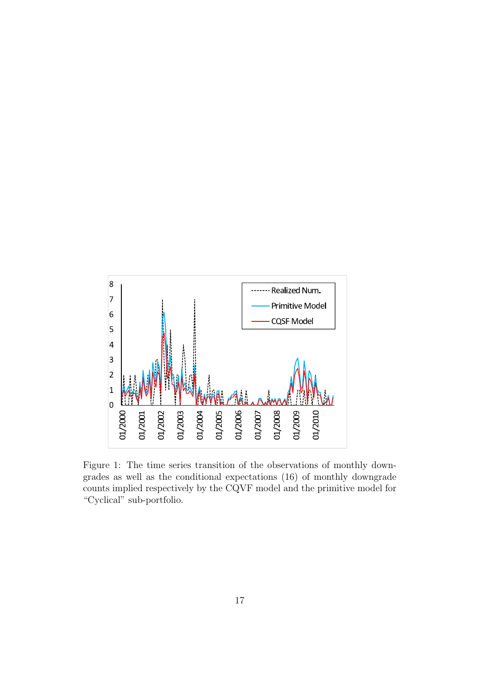

Figure 1: The time series transition of the observations of monthly downgrades as well as the conditional expectations (16) of monthly downgrade counts implied respectively by the CQVF model and the primitive model for "Cyclical" sub-portfolio.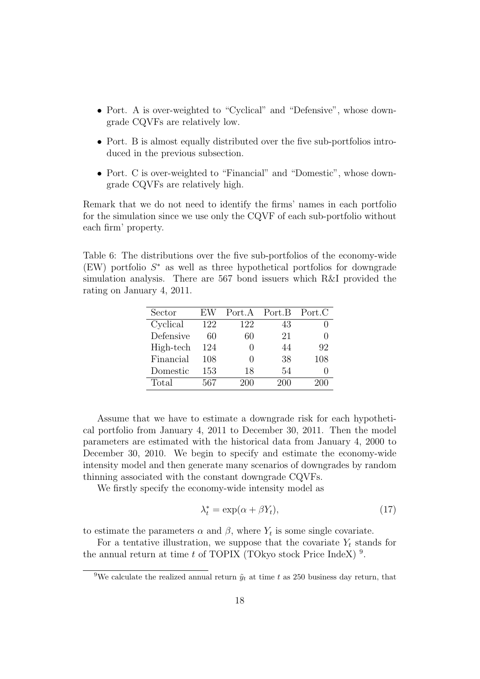- Port. A is over-weighted to "Cyclical" and "Defensive", whose downgrade CQVFs are relatively low.
- Port. B is almost equally distributed over the five sub-portfolios introduced in the previous subsection.
- Port. C is over-weighted to "Financial" and "Domestic", whose downgrade CQVFs are relatively high.

Remark that we do not need to identify the firms' names in each portfolio for the simulation since we use only the CQVF of each sub-portfolio without each firm' property.

Table 6: The distributions over the five sub-portfolios of the economy-wide (EW) portfolio *S <sup>∗</sup>* as well as three hypothetical portfolios for downgrade simulation analysis. There are 567 bond issuers which R&I provided the rating on January 4, 2011.

| Sector    | ЕW  | Port.A | Port.B | Port.C |
|-----------|-----|--------|--------|--------|
| Cyclical  | 122 | 122    | 43     |        |
| Defensive | 60  | 60     | 21     |        |
| High-tech | 124 |        | 44     | 92     |
| Financial | 108 | 0      | 38     | 108    |
| Domestic  | 153 | 18     | 54     |        |
| Total     | 567 | 200    | 200    |        |

Assume that we have to estimate a downgrade risk for each hypothetical portfolio from January 4, 2011 to December 30, 2011. Then the model parameters are estimated with the historical data from January 4, 2000 to December 30, 2010. We begin to specify and estimate the economy-wide intensity model and then generate many scenarios of downgrades by random thinning associated with the constant downgrade CQVFs.

We firstly specify the economy-wide intensity model as

$$
\lambda_t^* = \exp(\alpha + \beta Y_t),\tag{17}
$$

to estimate the parameters  $\alpha$  and  $\beta$ , where  $Y_t$  is some single covariate.

For a tentative illustration, we suppose that the covariate  $Y_t$  stands for the annual return at time *t* of TOPIX (TOkyo stock Price IndeX) <sup>9</sup> .

<sup>&</sup>lt;sup>9</sup>We calculate the realized annual return  $\tilde{y}_t$  at time *t* as 250 business day return, that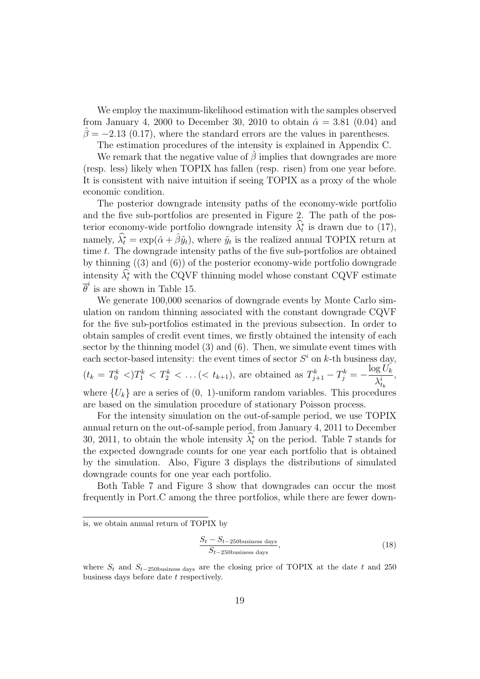We employ the maximum-likelihood estimation with the samples observed from January 4, 2000 to December 30, 2010 to obtain  $\hat{\alpha} = 3.81$  (0.04) and  $\beta = -2.13$  (0.17), where the standard errors are the values in parentheses.

The estimation procedures of the intensity is explained in Appendix C.

We remark that the negative value of  $\hat{\beta}$  implies that downgrades are more (resp. less) likely when TOPIX has fallen (resp. risen) from one year before. It is consistent with naive intuition if seeing TOPIX as a proxy of the whole economic condition.

The posterior downgrade intensity paths of the economy-wide portfolio and the five sub-portfolios are presented in Figure 2. The path of the posterior economy-wide portfolio downgrade intensity  $\lambda_t^*$  is drawn due to (17), namely,  $\hat{\lambda}_t^* = \exp(\hat{\alpha} + \hat{\beta} \tilde{y}_t)$ , where  $\tilde{y}_t$  is the realized annual TOPIX return at time *t*. The downgrade intensity paths of the five sub-portfolios are obtained by thinning ((3) and (6)) of the posterior economy-wide portfolio downgrade intensity  $\lambda_t^*$  with the CQVF thinning model whose constant CQVF estimate  $\overline{\theta}^i$  is are shown in Table 15.

We generate 100,000 scenarios of downgrade events by Monte Carlo simulation on random thinning associated with the constant downgrade CQVF for the five sub-portfolios estimated in the previous subsection. In order to obtain samples of credit event times, we firstly obtained the intensity of each sector by the thinning model (3) and (6). Then, we simulate event times with each sector-based intensity: the event times of sector  $S^i$  on  $k$ -th business day,  $(t_k = T_0^k \langle T_1^k \rangle \langle T_1^k \langle T_2^k \langle T_3^k \rangle \langle T_4^k \rangle)$ , are obtained as  $T_{j+1}^k - T_j^k = -1$  $\log U_k$ *λ i tk* , where  ${U_k}$  are a series of  $(0, 1)$ -uniform random variables. This procedures are based on the simulation procedure of stationary Poisson process.

For the intensity simulation on the out-of-sample period, we use TOPIX annual return on the out-of-sample period, from January 4, 2011 to December 30, 2011, to obtain the whole intensity  $\lambda_t^*$  on the period. Table 7 stands for the expected downgrade counts for one year each portfolio that is obtained by the simulation. Also, Figure 3 displays the distributions of simulated downgrade counts for one year each portfolio.

Both Table 7 and Figure 3 show that downgrades can occur the most frequently in Port.C among the three portfolios, while there are fewer down-

$$
\frac{S_t - S_{t-250 \text{business days}}}{S_{t-250 \text{business days}}},\tag{18}
$$

is, we obtain annual return of TOPIX by

where  $S_t$  and  $S_{t-250 \text{business days}}$  are the closing price of TOPIX at the date *t* and 250 business days before date *t* respectively.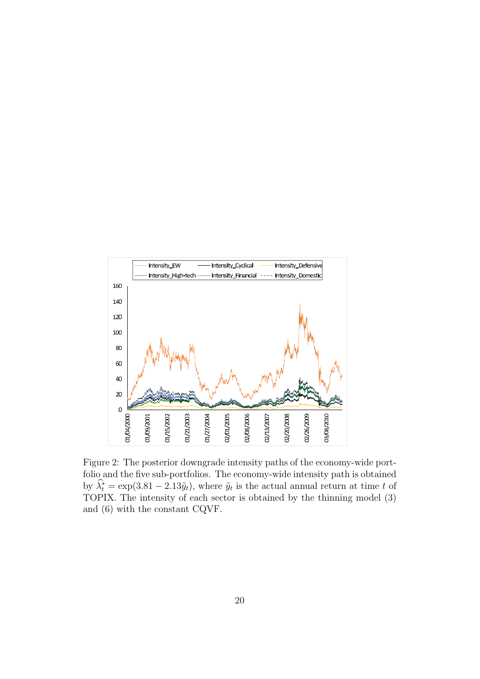

Figure 2: The posterior downgrade intensity paths of the economy-wide portfolio and the five sub-portfolios. The economy-wide intensity path is obtained by  $\lambda_t^* = \exp(3.81 - 2.13\tilde{y}_t)$ , where  $\tilde{y}_t$  is the actual annual return at time *t* of TOPIX. The intensity of each sector is obtained by the thinning model (3) and (6) with the constant CQVF.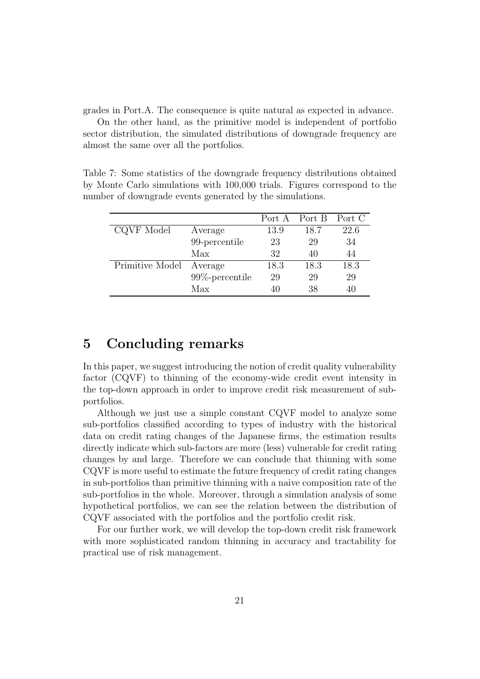grades in Port.A. The consequence is quite natural as expected in advance.

On the other hand, as the primitive model is independent of portfolio sector distribution, the simulated distributions of downgrade frequency are almost the same over all the portfolios.

Table 7: Some statistics of the downgrade frequency distributions obtained by Monte Carlo simulations with 100,000 trials. Figures correspond to the number of downgrade events generated by the simulations.

|                 |                |      | Port A Port B Port C |      |
|-----------------|----------------|------|----------------------|------|
| CQVF Model      | Average        | 13.9 | 18.7                 | 22.6 |
|                 | 99-percentile  | 23   | 29                   | 34   |
|                 | Max            | 32   | 40                   | 44   |
| Primitive Model | Average        | 18.3 | 18.3                 | 18.3 |
|                 | 99%-percentile | 29   | 29                   | 29   |
|                 | Max            | 40   | 38                   | 40   |

### **5 Concluding remarks**

In this paper, we suggest introducing the notion of credit quality vulnerability factor (CQVF) to thinning of the economy-wide credit event intensity in the top-down approach in order to improve credit risk measurement of subportfolios.

Although we just use a simple constant CQVF model to analyze some sub-portfolios classified according to types of industry with the historical data on credit rating changes of the Japanese firms, the estimation results directly indicate which sub-factors are more (less) vulnerable for credit rating changes by and large. Therefore we can conclude that thinning with some CQVF is more useful to estimate the future frequency of credit rating changes in sub-portfolios than primitive thinning with a naive composition rate of the sub-portfolios in the whole. Moreover, through a simulation analysis of some hypothetical portfolios, we can see the relation between the distribution of CQVF associated with the portfolios and the portfolio credit risk.

For our further work, we will develop the top-down credit risk framework with more sophisticated random thinning in accuracy and tractability for practical use of risk management.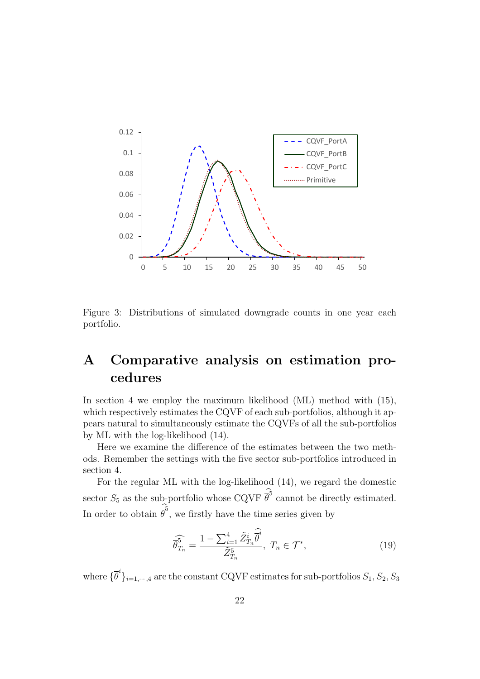

Figure 3: Distributions of simulated downgrade counts in one year each portfolio.

## **A Comparative analysis on estimation procedures**

In section 4 we employ the maximum likelihood (ML) method with (15), which respectively estimates the CQVF of each sub-portfolios, although it appears natural to simultaneously estimate the CQVFs of all the sub-portfolios by ML with the log-likelihood (14).

Here we examine the difference of the estimates between the two methods. Remember the settings with the five sector sub-portfolios introduced in section 4.

For the regular ML with the log-likelihood (14), we regard the domestic sector  $S_5$  as the sub-portfolio whose CQVF  $\overline{\theta}^5$  cannot be directly estimated. In order to obtain  $\overline{\theta}^5$ , we firstly have the time series given by

$$
\widehat{\overline{\theta}}_{T_n}^5 = \frac{1 - \sum_{i=1}^4 \tilde{Z}_{T_n}^i \widehat{\overline{\theta}}^i}{\tilde{Z}_{T_n}^5}, \ T_n \in \mathcal{T}^*,
$$
\n(19)

where  $\{\overline{\theta}^i\}_{i=1,\cdots,4}$  are the constant CQVF estimates for sub-portfolios  $S_1, S_2, S_3$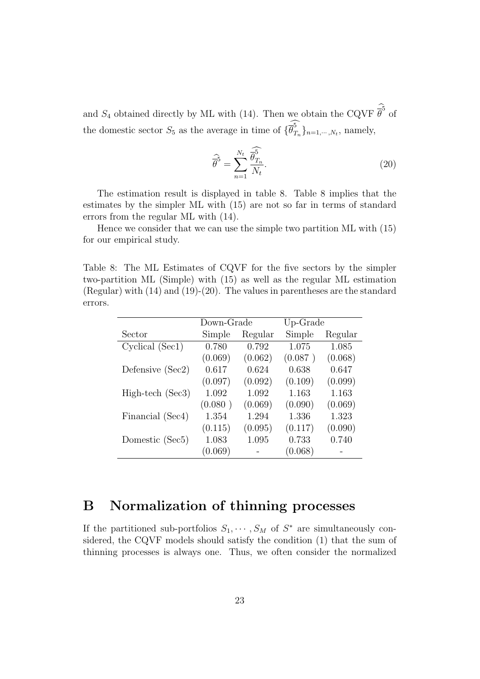and  $S_4$  obtained directly by ML with (14). Then we obtain the CQVF  $\overline{\theta}^5$  of the domestic sector  $S_5$  as the average in time of  $\{ \overline{\theta}_{T_n}^5 \}$  $\int_{T_n}^{\infty}$ <sub>*n*=1</sub>,*··*·*,N<sub>t</sub>*</sub>, namely,

$$
\widehat{\overline{\theta}}^5 = \sum_{n=1}^{N_t} \frac{\widehat{\overline{\theta}}_{T_n}^5}{N_t}.
$$
\n(20)

The estimation result is displayed in table 8. Table 8 implies that the estimates by the simpler ML with (15) are not so far in terms of standard errors from the regular ML with (14).

Hence we consider that we can use the simple two partition ML with (15) for our empirical study.

Table 8: The ML Estimates of CQVF for the five sectors by the simpler two-partition ML (Simple) with (15) as well as the regular ML estimation (Regular) with (14) and (19)-(20). The values in parentheses are the standard errors.

|                           | Down-Grade |         | Up-Grade |         |
|---------------------------|------------|---------|----------|---------|
| Sector                    | Simple     | Regular | Simple   | Regular |
| Cyclical (Sec1)           | 0.780      | 0.792   | 1.075    | 1.085   |
|                           | (0.069)    | (0.062) | (0.087)  | (0.068) |
| Defensive (Sec2)          | 0.617      | 0.624   | 0.638    | 0.647   |
|                           | (0.097)    | (0.092) | (0.109)  | (0.099) |
| $High\text{-}tech (Sec3)$ | 1.092      | 1.092   | 1.163    | 1.163   |
|                           | (0.080)    | (0.069) | (0.090)  | (0.069) |
| Financial (Sec4)          | 1.354      | 1.294   | 1.336    | 1.323   |
|                           | (0.115)    | (0.095) | (0.117)  | (0.090) |
| Domestic (Sec5)           | 1.083      | 1.095   | 0.733    | 0.740   |
|                           | (0.069)    |         | (0.068)  |         |

## **B Normalization of thinning processes**

If the partitioned sub-portfolios  $S_1, \cdots, S_M$  of  $S^*$  are simultaneously considered, the CQVF models should satisfy the condition (1) that the sum of thinning processes is always one. Thus, we often consider the normalized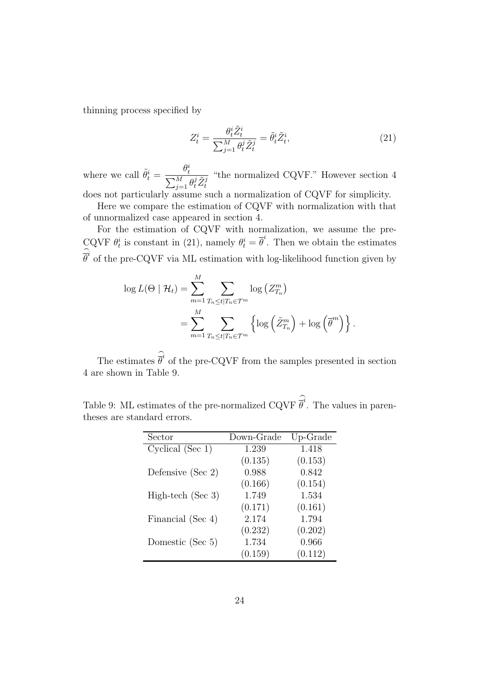thinning process specified by

$$
Z_t^i = \frac{\theta_t^i \tilde{Z}_t^i}{\sum_{j=1}^M \theta_t^j \tilde{Z}_t^j} = \tilde{\theta}_t^i \tilde{Z}_t^i, \tag{21}
$$

where we call  $\tilde{\theta}^i_t =$ *θ i* ∑ *t*  $\frac{M}{j=1}$   $\theta_t^j \tilde{Z}_t^j$ "the normalized CQVF." However section 4

does not particularly assume such a normalization of CQVF for simplicity.

Here we compare the estimation of CQVF with normalization with that of unnormalized case appeared in section 4.

For the estimation of CQVF with normalization, we assume the pre-CQVF  $\theta_t^i$  is constant in (21), namely  $\theta_t^i = \overline{\theta}^i$ . Then we obtain the estimates  $\overline{\theta}^i$  of the pre-CQVF via ML estimation with log-likelihood function given by

$$
\log L(\Theta \mid \mathcal{H}_t) = \sum_{m=1}^M \sum_{T_n \le t | T_n \in \mathcal{T}^m} \log \left( Z^m_{T_n} \right)
$$
  
= 
$$
\sum_{m=1}^M \sum_{T_n \le t | T_n \in \mathcal{T}^m} \left\{ \log \left( \tilde{Z}^m_{T_n} \right) + \log \left( \overline{\theta}^m \right) \right\}.
$$

The estimates  $\overline{\theta}^i$  of the pre-CQVF from the samples presented in section 4 are shown in Table 9.

Table 9: ML estimates of the pre-normalized CQVF  $\overline{\theta}^i$ . The values in parentheses are standard errors.

| Sector               | Down-Grade | Up-Grade |
|----------------------|------------|----------|
| Cyclical (Sec $1$ )  | 1.239      | 1.418    |
|                      | (0.135)    | (0.153)  |
| Defensive (Sec $2$ ) | 0.988      | 0.842    |
|                      | (0.166)    | (0.154)  |
| High-tech (Sec $3$ ) | 1.749      | 1.534    |
|                      | (0.171)    | (0.161)  |
| Financial (Sec 4)    | 2.174      | 1.794    |
|                      | (0.232)    | (0.202)  |
| Domestic (Sec 5)     | 1.734      | 0.966    |
|                      | (0.159)    | (0.112)  |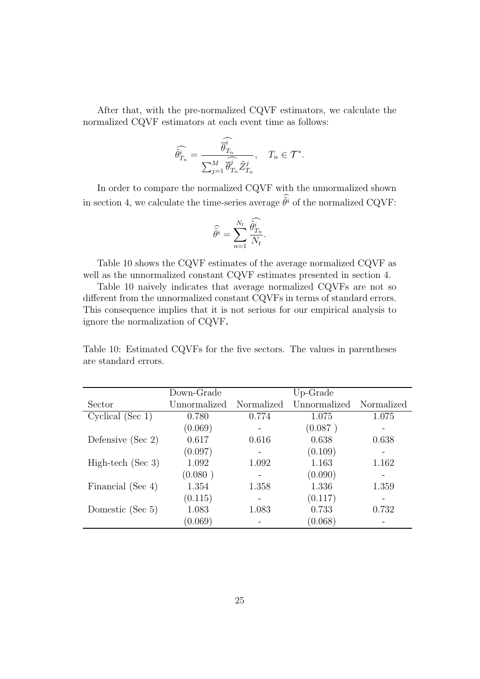After that, with the pre-normalized CQVF estimators, we calculate the normalized CQVF estimators at each event time as follows:

$$
\widehat{\hat{\theta}^{i}_{T_n}} = \frac{\widehat{\theta^{i}_{T_n}}}{\sum_{j=1}^{M} \widehat{\theta^{j}_{T_n}} \tilde{Z}^{j}_{T_n}}, \quad T_n \in \mathcal{T}^*.
$$

In order to compare the normalized CQVF with the unnormalized shown in section 4, we calculate the time-series average  $\tilde{\theta}^i$  of the normalized CQVF:

$$
\widehat{\widetilde{\theta}^i} = \sum_{n=1}^{N_t} \frac{\widehat{\widetilde{\theta}^i_{T_n}}}{N_t}.
$$

Table 10 shows the CQVF estimates of the average normalized CQVF as well as the unnormalized constant CQVF estimates presented in section 4.

Table 10 naively indicates that average normalized CQVFs are not so different from the unnormalized constant CQVFs in terms of standard errors. This consequence implies that it is not serious for our empirical analysis to ignore the normalization of CQVF.

Table 10: Estimated CQVFs for the five sectors. The values in parentheses are standard errors.

|                      | Down-Grade   |            | Up-Grade     |            |
|----------------------|--------------|------------|--------------|------------|
| Sector               | Unnormalized | Normalized | Unnormalized | Normalized |
| Cyclical (Sec $1$ )  | 0.780        | 0.774      | 1.075        | 1.075      |
|                      | (0.069)      |            | (0.087)      |            |
| Defensive (Sec $2$ ) | 0.617        | 0.616      | 0.638        | 0.638      |
|                      | (0.097)      |            | (0.109)      |            |
| High-tech (Sec $3$ ) | 1.092        | 1.092      | 1.163        | 1.162      |
|                      | (0.080)      |            | (0.090)      |            |
| Financial (Sec 4)    | 1.354        | 1.358      | 1.336        | 1.359      |
|                      | (0.115)      |            | (0.117)      |            |
| Domestic (Sec 5)     | 1.083        | 1.083      | 0.733        | 0.732      |
|                      | (0.069)      |            | (0.068)      |            |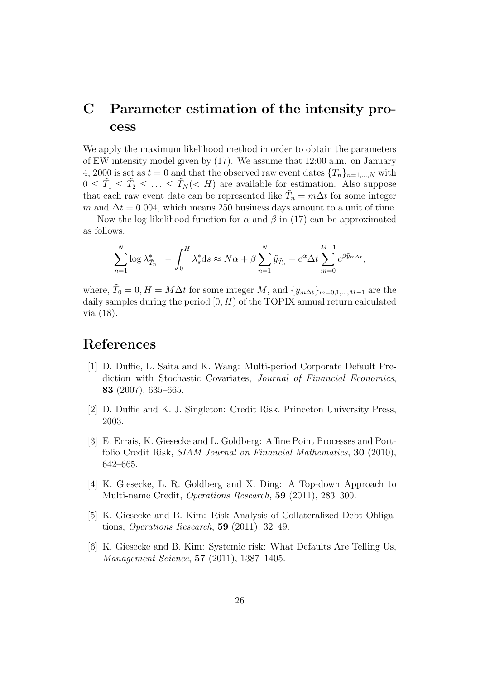## **C Parameter estimation of the intensity process**

We apply the maximum likelihood method in order to obtain the parameters of EW intensity model given by (17). We assume that 12:00 a.m. on January 4, 2000 is set as  $t = 0$  and that the observed raw event dates  ${\{\tilde{T}_n\}}_{n=1,\dots,N}$  with  $0 \leq \tilde{T}_1 \leq \tilde{T}_2 \leq \ldots \leq \tilde{T}_N \left( \lt H \right)$  are available for estimation. Also suppose that each raw event date can be represented like  $\tilde{T}_n = m\Delta t$  for some integer *m* and  $\Delta t = 0.004$ , which means 250 business days amount to a unit of time.

Now the log-likelihood function for  $\alpha$  and  $\beta$  in (17) can be approximated as follows.

$$
\sum_{n=1}^{N} \log \lambda_{\tilde{T}_n}^* - \int_0^H \lambda_s^* ds \approx N\alpha + \beta \sum_{n=1}^{N} \tilde{y}_{\tilde{T}_n} - e^{\alpha} \Delta t \sum_{m=0}^{M-1} e^{\beta \tilde{y}_{m\Delta t}},
$$

where,  $\tilde{T}_0 = 0, H = M\Delta t$  for some integer *M*, and  ${\{\tilde{y}_{m\Delta t}\}}_{m=0,1,\dots,M-1}$  are the daily samples during the period [0*, H*) of the TOPIX annual return calculated via (18).

### **References**

- [1] D. Duffie, L. Saita and K. Wang: Multi-period Corporate Default Prediction with Stochastic Covariates, *Journal of Financial Economics*, **83** (2007), 635–665.
- [2] D. Duffie and K. J. Singleton: Credit Risk. Princeton University Press, 2003.
- [3] E. Errais, K. Giesecke and L. Goldberg: Affine Point Processes and Portfolio Credit Risk, *SIAM Journal on Financial Mathematics*, **30** (2010), 642–665.
- [4] K. Giesecke, L. R. Goldberg and X. Ding: A Top-down Approach to Multi-name Credit, *Operations Research*, **59** (2011), 283–300.
- [5] K. Giesecke and B. Kim: Risk Analysis of Collateralized Debt Obligations, *Operations Research*, **59** (2011), 32–49.
- [6] K. Giesecke and B. Kim: Systemic risk: What Defaults Are Telling Us, *Management Science*, **57** (2011), 1387–1405.